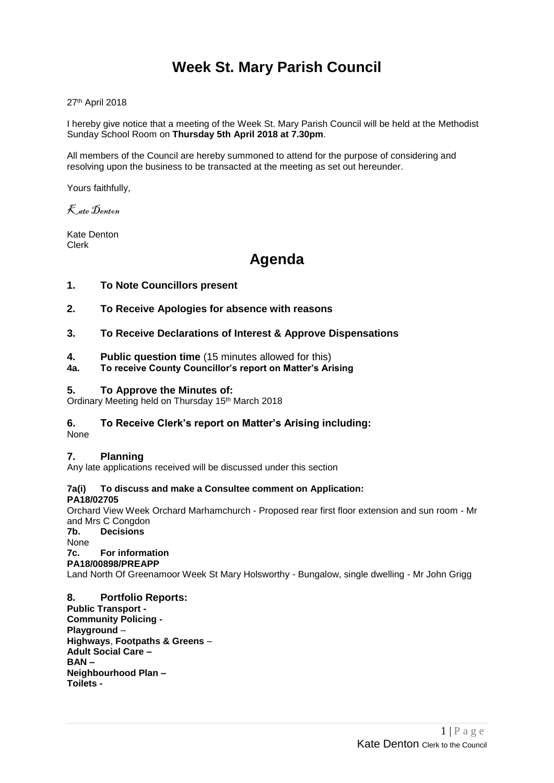# **Week St. Mary Parish Council**

27th April 2018

I hereby give notice that a meeting of the Week St. Mary Parish Council will be held at the Methodist Sunday School Room on **Thursday 5th April 2018 at 7.30pm**.

All members of the Council are hereby summoned to attend for the purpose of considering and resolving upon the business to be transacted at the meeting as set out hereunder.

Yours faithfully,

Kate Denton

Kate Denton Clerk

## **Agenda**

### **1. To Note Councillors present**

- **2. To Receive Apologies for absence with reasons**
- **3. To Receive Declarations of Interest & Approve Dispensations**
- **4. Public question time** (15 minutes allowed for this)
- **4a. To receive County Councillor's report on Matter's Arising**

### **5. To Approve the Minutes of:**

Ordinary Meeting held on Thursday 15th March 2018

### **6. To Receive Clerk's report on Matter's Arising including:**

None

### **7. Planning**

Any late applications received will be discussed under this section

### **7a(i) To discuss and make a Consultee comment on Application:**

**PA18/02705** 

Orchard View Week Orchard Marhamchurch - Proposed rear first floor extension and sun room - Mr and Mrs C Congdon

**7b. Decisions**

None

#### **7c. For information PA18/00898/PREAPP**

Land North Of Greenamoor Week St Mary Holsworthy - Bungalow, single dwelling - Mr John Grigg

### **8. Portfolio Reports:**

**Public Transport - Community Policing - Playground** – **Highways**, **Footpaths & Greens** – **Adult Social Care – BAN – Neighbourhood Plan – Toilets -**